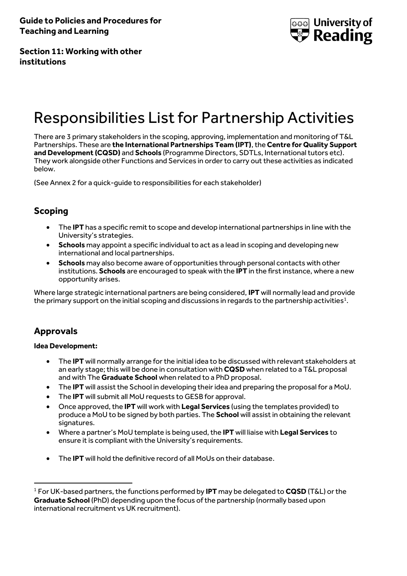

**Section 11: Working with other institutions**

# Responsibilities List for Partnership Activities

There are 3 primary stakeholders in the scoping, approving, implementation and monitoring of T&L Partnerships. These are **the International Partnerships Team (IPT)**, the **Centre for Quality Support and Development (CQSD)** and **Schools** (Programme Directors, SDTLs, International tutors etc). They work alongside other Functions and Services in order to carry out these activities as indicated below.

(See Annex 2 for a quick-guide to responsibilities for each stakeholder)

# **Scoping**

- The **IPT** has a specific remit to scope and develop international partnerships in line with the University's strategies.
- **Schools** may appoint a specific individual to act as a lead in scoping and developing new international and local partnerships.
- **Schools** may also become aware of opportunities through personal contacts with other institutions. **Schools** are encouraged to speak with the **IPT** in the first instance, where a new opportunity arises.

Where large strategic international partners are being considered, **IPT** will normally lead and provide the primary support on the initial scoping and discussions in regards to the partnership activities $^1$ .

# **Approvals**

 $\overline{a}$ 

### **Idea Development:**

- The **IPT** will normally arrange for the initial idea to be discussed with relevant stakeholders at an early stage; this will be done in consultation with **CQSD** when related to a T&L proposal and with The **Graduate School** when related to a PhD proposal.
- The **IPT** will assist the School in developing their idea and preparing the proposal for a MoU.
- The **IPT** will submit all MoU requests to GESB for approval.
- Once approved, the **IPT** will work with **Legal Services** (using the templates provided) to produce a MoU to be signed by both parties. The **School** will assist in obtaining the relevant signatures.
- Where a partner's MoU template is being used, the **IPT** will liaise with **Legal Services** to ensure it is compliant with the University's requirements.
- The **IPT** will hold the definitive record of all MoUs on their database.

<sup>1</sup> For UK-based partners, the functions performed by **IPT** may be delegated to **CQSD** (T&L) or the **Graduate School** (PhD) depending upon the focus of the partnership (normally based upon international recruitment vs UK recruitment).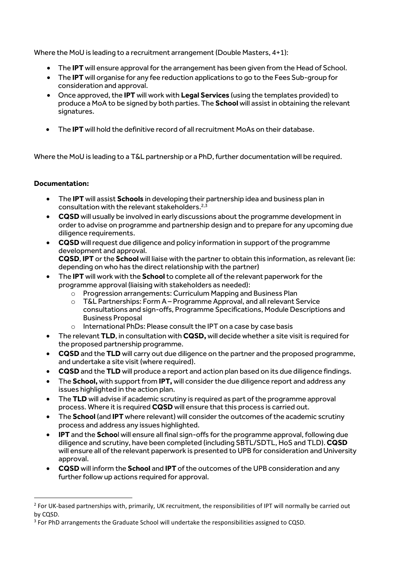Where the MoU is leading to a recruitment arrangement (Double Masters, 4+1):

- The **IPT** will ensure approval for the arrangement has been given from the Head of School.
- The **IPT** will organise for any fee reduction applications to go to the Fees Sub-group for consideration and approval.
- Once approved, the **IPT** will work with **Legal Services** (using the templates provided) to produce a MoA to be signed by both parties. The **School** will assist in obtaining the relevant signatures.
- The **IPT** will hold the definitive record of all recruitment MoAs on their database.

Where the MoU is leading to a T&L partnership or a PhD, further documentation will be required.

### **Documentation:**

 $\overline{a}$ 

- The **IPT** will assist **Schools** in developing their partnership idea and business plan in consultation with the relevant stakeholders.<sup>2,3</sup>
- **CQSD** will usually be involved in early discussions about the programme development in order to advise on programme and partnership design and to prepare for any upcoming due diligence requirements.
- **CQSD** will request due diligence and policy information in support of the programme development and approval. **CQSD**, **IPT** or the **School** will liaise with the partner to obtain this information, as relevant (ie: depending on who has the direct relationship with the partner)
- The **IPT** will work with the **School**to complete all of the relevant paperwork for the programme approval (liaising with stakeholders as needed):
	- o Progression arrangements: Curriculum Mapping and Business Plan
	- o T&L Partnerships: Form A Programme Approval, and all relevant Service consultations and sign-offs, Programme Specifications, Module Descriptions and Business Proposal
	- o International PhDs: Please consult the IPT on a case by case basis
- The relevant **TLD**, in consultation with **CQSD,** will decide whether a site visit is required for the proposed partnership programme.
- **CQSD** and the **TLD** will carry out due diligence on the partner and the proposed programme, and undertake a site visit (where required).
- **CQSD** and the **TLD** will produce a report and action plan based on its due diligence findings.
- The **School,** with support from **IPT,** will consider the due diligence report and address any issues highlighted in the action plan.
- The **TLD** will advise if academic scrutiny is required as part of the programme approval process. Where it is required **CQSD** will ensure that this process is carried out.
- The **School** (and **IPT** where relevant) will consider the outcomes of the academic scrutiny process and address any issues highlighted.
- **IPT** and the **Schoo**l will ensure all final sign-offs for the programme approval, following due diligence and scrutiny, have been completed (including SBTL/SDTL, HoS and TLD). **CQSD** will ensure all of the relevant paperwork is presented to UPB for consideration and University approval.
- **CQSD** will inform the **School** and **IPT** of the outcomes of the UPB consideration and any further follow up actions required for approval.

<sup>&</sup>lt;sup>2</sup> For UK-based partnerships with, primarily, UK recruitment, the responsibilities of IPT will normally be carried out by CQSD.

<sup>&</sup>lt;sup>3</sup> For PhD arrangements the Graduate School will undertake the responsibilities assigned to CQSD.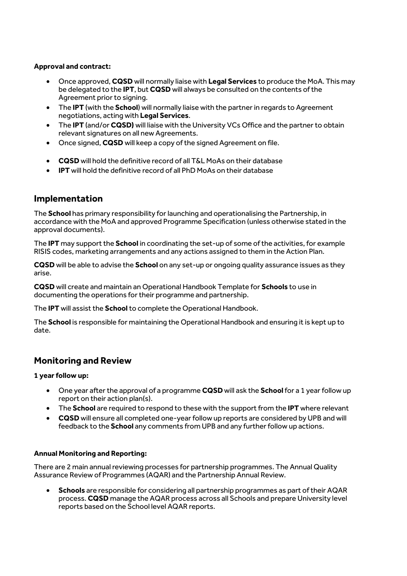### **Approval and contract:**

- Once approved, **CQSD** will normally liaise with **Legal Services** to produce the MoA. This may be delegated to the **IPT**, but **CQSD** will always be consulted on the contents of the Agreement prior to signing.
- The **IPT** (with the **School**) will normally liaise with the partner in regards to Agreement negotiations, acting with **Legal Services**.
- The **IPT** (and/or **CQSD)** will liaise with the University VCs Office and the partner to obtain relevant signatures on all new Agreements.
- Once signed, **CQSD** will keep a copy of the signed Agreement on file.
- **CQSD** will hold the definitive record of all T&L MoAs on their database
- **IPT** will hold the definitive record of all PhD MoAs on their database

## **Implementation**

The **School** has primary responsibility for launching and operationalising the Partnership, in accordance with the MoA and approved Programme Specification (unless otherwise stated in the approval documents).

The **IPT** may support the **School** in coordinating the set-up of some of the activities, for example RISIS codes, marketing arrangements and any actions assigned to them in the Action Plan.

**CQSD** will be able to advise the **School** on any set-up or ongoing quality assurance issues as they arise.

**CQSD** will create and maintain an Operational Handbook Template for **Schools** to use in documenting the operations for their programme and partnership.

The **IPT** will assist the **School**to complete the Operational Handbook.

The **School** is responsible for maintaining the Operational Handbook and ensuring it is kept up to date.

## **Monitoring and Review**

### **1 year follow up:**

- One year after the approval of a programme **CQSD** will ask the **School** for a 1 year follow up report on their action plan(s).
- The **School** are required to respond to these with the support from the **IPT** where relevant
- **CQSD** will ensure all completed one-year follow up reports are considered by UPB and will feedback to the **School** any comments from UPB and any further follow up actions.

### **Annual Monitoring and Reporting:**

There are 2 main annual reviewing processes for partnership programmes. The Annual Quality Assurance Review of Programmes (AQAR) and the Partnership Annual Review.

 **Schools** are responsible for considering all partnership programmes as part of their AQAR process. **CQSD** manage the AQAR process across all Schools and prepare University level reports based on the School level AQAR reports.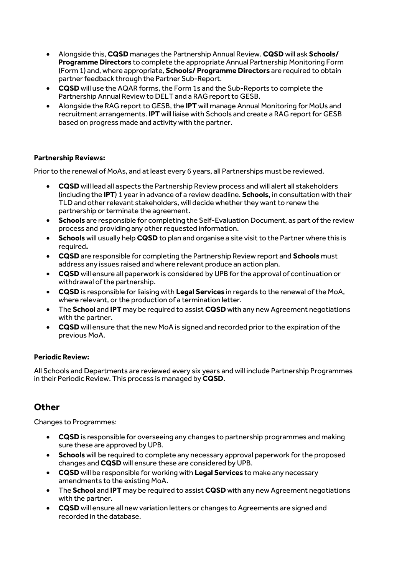- Alongside this, **CQSD** manages the Partnership Annual Review. **CQSD** will ask **Schools/ Programme Directors** to complete the appropriate Annual Partnership Monitoring Form (Form 1) and, where appropriate, **Schools/ Programme Directors** are required to obtain partner feedback through the Partner Sub-Report.
- **CQSD** will use the AQAR forms, the Form 1s and the Sub-Reports to complete the Partnership Annual Review to DELT and a RAG report to GESB.
- Alongside the RAG report to GESB, the **IPT** will manage Annual Monitoring for MoUs and recruitment arrangements. **IPT** will liaise with Schools and create a RAG report for GESB based on progress made and activity with the partner.

### **Partnership Reviews:**

Prior to the renewal of MoAs, and at least every 6 years, all Partnerships must be reviewed.

- **CQSD** will lead all aspects the Partnership Review process and will alert all stakeholders (including the **IPT**) 1 year in advance of a review deadline. **Schools**, in consultation with their TLD and other relevant stakeholders, will decide whether they want to renew the partnership or terminate the agreement.
- **Schools** are responsible for completing the Self-Evaluation Document, as part of the review process and providing any other requested information.
- **Schools** will usually help **CQSD** to plan and organise a site visit to the Partner where this is required**.**
- **CQSD** are responsible for completing the Partnership Review report and **Schools** must address any issues raised and where relevant produce an action plan.
- **CQSD** will ensure all paperwork is considered by UPB for the approval of continuation or withdrawal of the partnership.
- **CQSD** is responsible for liaising with **Legal Services** in regards to the renewal of the MoA, where relevant, or the production of a termination letter.
- The **School** and **IPT** may be required to assist **CQSD** with any new Agreement negotiations with the partner.
- **CQSD** will ensure that the new MoA is signed and recorded prior to the expiration of the previous MoA.

### **Periodic Review:**

All Schools and Departments are reviewed every six years and will include Partnership Programmes in their Periodic Review. This process is managed by **CQSD**.

# **Other**

Changes to Programmes:

- **CQSD** is responsible for overseeing any changes to partnership programmes and making sure these are approved by UPB.
- **Schools** will be required to complete any necessary approval paperwork for the proposed changes and **CQSD** will ensure these are considered by UPB.
- **CQSD** will be responsible for working with **Legal Services** to make any necessary amendments to the existing MoA.
- The **School** and **IPT** may be required to assist **CQSD** with any new Agreement negotiations with the partner.
- **CQSD** will ensure all new variation letters or changes to Agreements are signed and recorded in the database.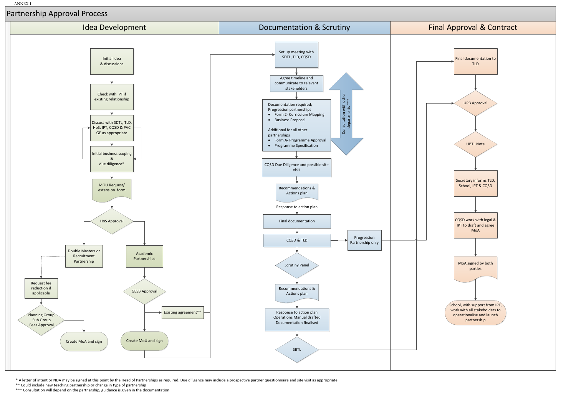

\* A letter of intent or NDA may be signed at this point by the Head of Partnerships as required. Due diligence may include a prospective partner questionnaire and site visit as appropriate

\*\* Could include new teaching partnership or change in type of partnership

\*\*\* Consultation will depend on the partnership, guidance is given in the documentation

ANNEX 1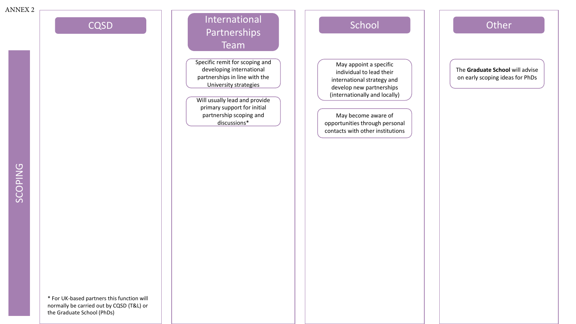# International Partnerships Team CQSD | | "Hitchianoniai" | | School | | Coste

Specific remit for scoping and developing international partnerships in line with the University strategies

Will usually lead and provide primary support for initial partnership scoping and discussions\*

May appoint a specific individual to lead their international strategy and develop new partnerships (internationally and locally)

May become aware of opportunities through personal contacts with other institutions

The **Graduate School** will advise on early scoping ideas for PhDs

\* For UK-based partners this function will normally be carried out by CQSD (T&L) or the Graduate School (PhDs)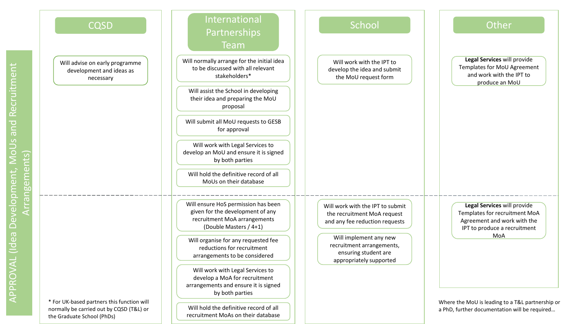

recruitment MoAs on their database

APPROVAL (Idea Development, MoUs and Recruitment Recruitment pue opment, MoU Arrangements) Arrangements) Devel  $\mathbf{e}$  $\bar{\Xi}$ APPROVAL

the Graduate School (PhDs)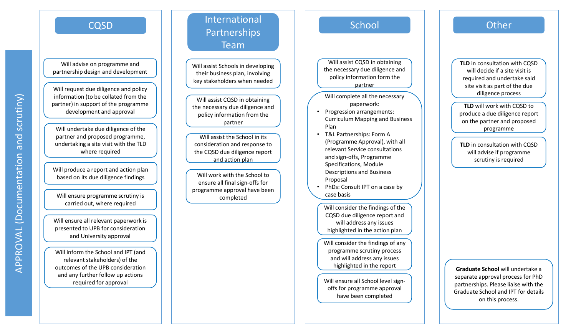Will advise on programme and partnership design and development

Will request due diligence and policy information (to be collated from the partner) in support of the programme development and approval

Will undertake due diligence of the partner and proposed programme, undertaking a site visit with the TLD where required

Will produce a report and action plan based on its due diligence findings

Will ensure programme scrutiny is carried out, where required Mill consider the findings of the

Will ensure all relevant paperwork is presented to UPB for consideration and University approval

Will inform the School and IPT (and relevant stakeholders) of the outcomes of the UPB consideration and any further follow up actions required for approval

# International Partnerships Team CQSD ( International District of School ) Other

Will assist Schools in developing their business plan, involving key stakeholders when needed

Will assist CQSD in obtaining the necessary due diligence and policy information from the partner

Will assist the School in its consideration and response to the CQSD due diligence report and action plan

Will work with the School to ensure all final sign -offs for programme approval have been completed

Will assist CQSD in obtaining the necessary due diligence and policy information form the partner

Will complete all the necessary paperwork:

- Progression arrangements: Curriculum Mapping and Business Plan
- T&L Partnerships: Form A (Programme Approval), with all relevant Service consultations and sign -offs, Programme Specifications, Module Descriptions and Business Proposal
- PhDs: Consult IPT on a case by case basis

CQSD due diligence report and will address any issues highlighted in the action plan

Will consider the findings of any programme scrutiny process and will address any issues highlighted in the report

Will ensure all School level sign offs for programme approval have been completed

**TLD** in consultation with CQSD will decide if a site visit is required and undertake said site visit as part of the due diligence process

**TLD** will work with CQSD to produce a due diligence report on the partner and proposed programme

**TLD** in consultation with CQSD will advise if programme scrutiny is required

**Graduate School** will undertake a separate approval process for PhD partnerships. Please liaise with the Graduate School and IPT for details on this process.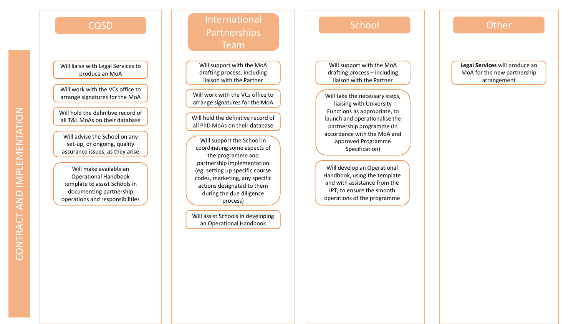Will liaise with Legal Services to produce an MoA

Will work with the VCs office to arrange signatures for the

Will hold the definitive record of all T&L MoAs on their database Will hold the definitive record of

Will advise the School on any set -up, or ongoing, quality assurance issues, as they arise

Will make available an Operational Handbook template to assist Schools in documenting partnership operations and responsibilities

International Partnerships Team CQSD ( International Decomposition of School ) Other

> Will support with the MoA drafting process, including liaison with the Partner

Will work with the VCs office to arrange signatures for the MoA

all PhD MoAs on their database

Will support the School in coordinating some aspects of the programme and partnership implementation (eg: setting up specific course codes, marketing, any specific actions designated to them during the due diligence process)

Will assist Schools in developing an Operational Handbook

Will support with the MoA drafting process – including liaison with the Partner

Will take the necessary steps, liaising with University Functions as appropriate, to launch and operationalise the partnership programme (in accordance with the MoA and approved Programme Specification)

Will develop an Operational Handbook, using the template and with assistance from the IPT, to ensure the smooth operations of the programme

**Legal Services** will produce an MoA for the new partnership arrangement